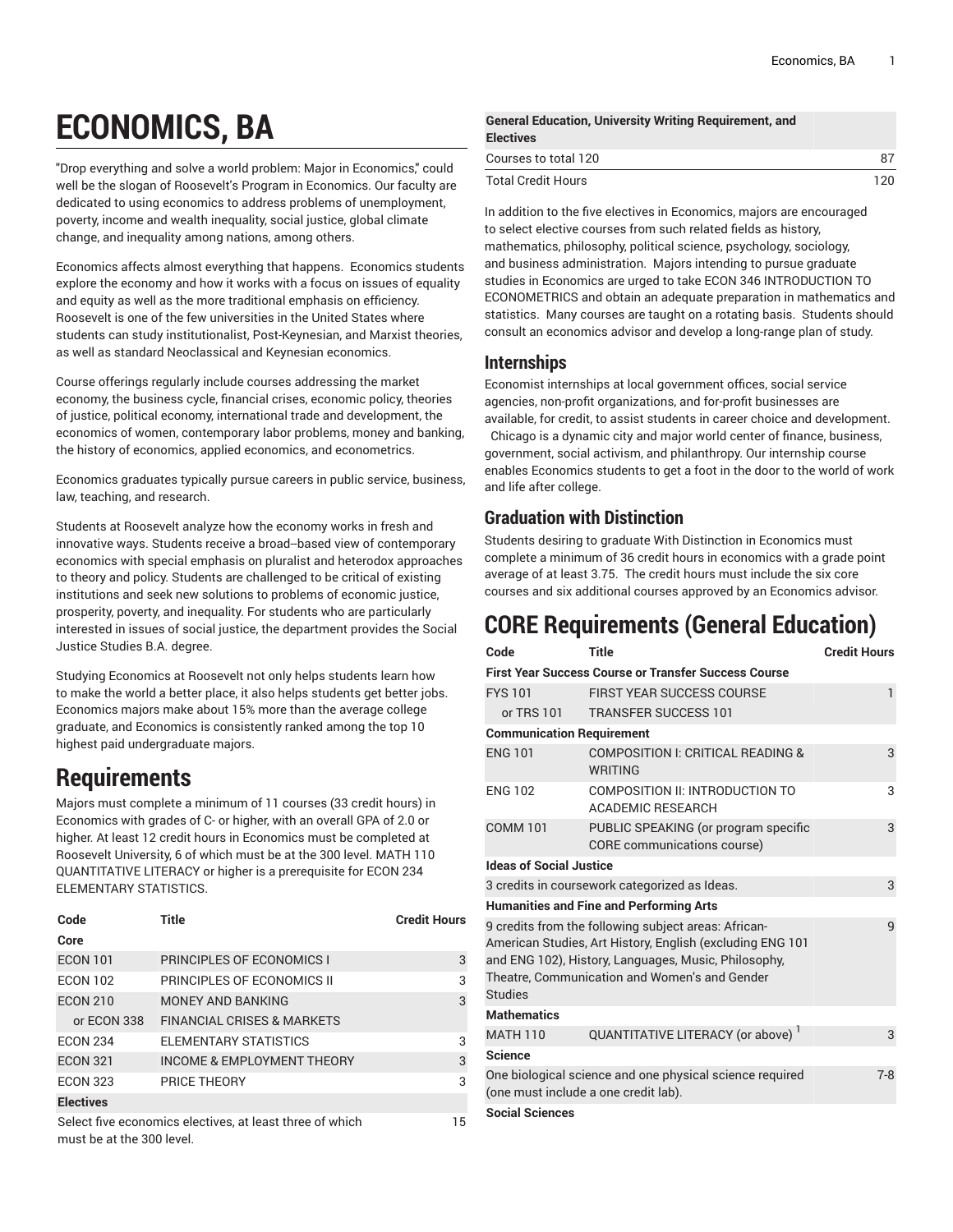# **ECONOMICS, BA**

"Drop everything and solve a world problem: Major in Economics," could well be the slogan of Roosevelt's Program in Economics. Our faculty are dedicated to using economics to address problems of unemployment, poverty, income and wealth inequality, social justice, global climate change, and inequality among nations, among others.

Economics affects almost everything that happens. Economics students explore the economy and how it works with a focus on issues of equality and equity as well as the more traditional emphasis on efficiency. Roosevelt is one of the few universities in the United States where students can study institutionalist, Post-Keynesian, and Marxist theories, as well as standard Neoclassical and Keynesian economics.

Course offerings regularly include courses addressing the market economy, the business cycle, financial crises, economic policy, theories of justice, political economy, international trade and development, the economics of women, contemporary labor problems, money and banking, the history of economics, applied economics, and econometrics.

Economics graduates typically pursue careers in public service, business, law, teaching, and research.

Students at Roosevelt analyze how the economy works in fresh and innovative ways. Students receive a broad-based view of contemporary economics with special emphasis on pluralist and heterodox approaches to theory and policy. Students are challenged to be critical of existing institutions and seek new solutions to problems of economic justice, prosperity, poverty, and inequality. For students who are particularly interested in issues of social justice, the department provides the Social Justice Studies B.A. degree.

Studying Economics at Roosevelt not only helps students learn how to make the world a better place, it also helps students get better jobs. Economics majors make about 15% more than the average college graduate, and Economics is consistently ranked among the top 10 highest paid undergraduate majors.

## **Requirements**

Majors must complete a minimum of 11 courses (33 credit hours) in Economics with grades of C- or higher, with an overall GPA of 2.0 or higher. At least 12 credit hours in Economics must be completed at Roosevelt University, 6 of which must be at the 300 level. MATH 110 QUANTITATIVE LITERACY or higher is a prerequisite for ECON 234 ELEMENTARY STATISTICS.

| Code             | Title                                                    | <b>Credit Hours</b> |
|------------------|----------------------------------------------------------|---------------------|
| Core             |                                                          |                     |
| <b>ECON 101</b>  | PRINCIPLES OF ECONOMICS I                                | 3                   |
| <b>ECON 102</b>  | PRINCIPLES OF ECONOMICS II                               | 3                   |
| <b>ECON 210</b>  | <b>MONEY AND BANKING</b>                                 | 3                   |
| or ECON 338      | <b>FINANCIAL CRISES &amp; MARKETS</b>                    |                     |
| <b>ECON 234</b>  | ELEMENTARY STATISTICS                                    | 3                   |
| <b>ECON 321</b>  | <b>INCOME &amp; EMPLOYMENT THEORY</b>                    | 3                   |
| <b>ECON 323</b>  | PRICE THEORY                                             | 3                   |
| <b>Electives</b> |                                                          |                     |
|                  | Select five economics electives, at least three of which | 15                  |

**General Education, University Writing Requirement, and Electives** Courses to total 120 87 Total Credit Hours 120

In addition to the five electives in Economics, majors are encouraged to select elective courses from such related fields as history, mathematics, philosophy, political science, psychology, sociology, and business administration. Majors intending to pursue graduate studies in Economics are urged to take ECON 346 INTRODUCTION TO ECONOMETRICS and obtain an adequate preparation in mathematics and statistics. Many courses are taught on a rotating basis. Students should consult an economics advisor and develop a long-range plan of study.

#### **Internships**

Economist internships at local government offices, social service agencies, non-profit organizations, and for-profit businesses are available, for credit, to assist students in career choice and development. Chicago is a dynamic city and major world center of finance, business, government, social activism, and philanthropy. Our internship course enables Economics students to get a foot in the door to the world of work and life after college.

### **Graduation with Distinction**

Students desiring to graduate With Distinction in Economics must complete a minimum of 36 credit hours in economics with a grade point average of at least 3.75. The credit hours must include the six core courses and six additional courses approved by an Economics advisor.

## **CORE Requirements (General Education)**

| Code                             | Title                                                                                                                                                                                                                      | <b>Credit Hours</b> |
|----------------------------------|----------------------------------------------------------------------------------------------------------------------------------------------------------------------------------------------------------------------------|---------------------|
|                                  | <b>First Year Success Course or Transfer Success Course</b>                                                                                                                                                                |                     |
| <b>FYS101</b>                    | <b>FIRST YEAR SUCCESS COURSE</b>                                                                                                                                                                                           | $\mathbf{1}$        |
| or $TRS$ 101                     | <b>TRANSFER SUCCESS 101</b>                                                                                                                                                                                                |                     |
| <b>Communication Requirement</b> |                                                                                                                                                                                                                            |                     |
| <b>ENG 101</b>                   | COMPOSITION I: CRITICAL READING &<br><b>WRITING</b>                                                                                                                                                                        | 3                   |
| <b>ENG 102</b>                   | COMPOSITION II: INTRODUCTION TO<br><b>ACADEMIC RESEARCH</b>                                                                                                                                                                | 3                   |
| <b>COMM 101</b>                  | PUBLIC SPEAKING (or program specific<br>CORE communications course)                                                                                                                                                        | 3                   |
| <b>Ideas of Social Justice</b>   |                                                                                                                                                                                                                            |                     |
|                                  | 3 credits in coursework categorized as Ideas.                                                                                                                                                                              | 3                   |
|                                  | <b>Humanities and Fine and Performing Arts</b>                                                                                                                                                                             |                     |
| <b>Studies</b>                   | 9 credits from the following subject areas: African-<br>American Studies, Art History, English (excluding ENG 101<br>and ENG 102), History, Languages, Music, Philosophy,<br>Theatre, Communication and Women's and Gender | 9                   |
| <b>Mathematics</b>               |                                                                                                                                                                                                                            |                     |
| <b>MATH 110</b>                  | QUANTITATIVE LITERACY (or above)                                                                                                                                                                                           | 3                   |
| <b>Science</b>                   |                                                                                                                                                                                                                            |                     |
|                                  | One biological science and one physical science required<br>(one must include a one credit lab).                                                                                                                           | $7 - 8$             |
| <b>Social Sciences</b>           |                                                                                                                                                                                                                            |                     |

must be at the 300 level.